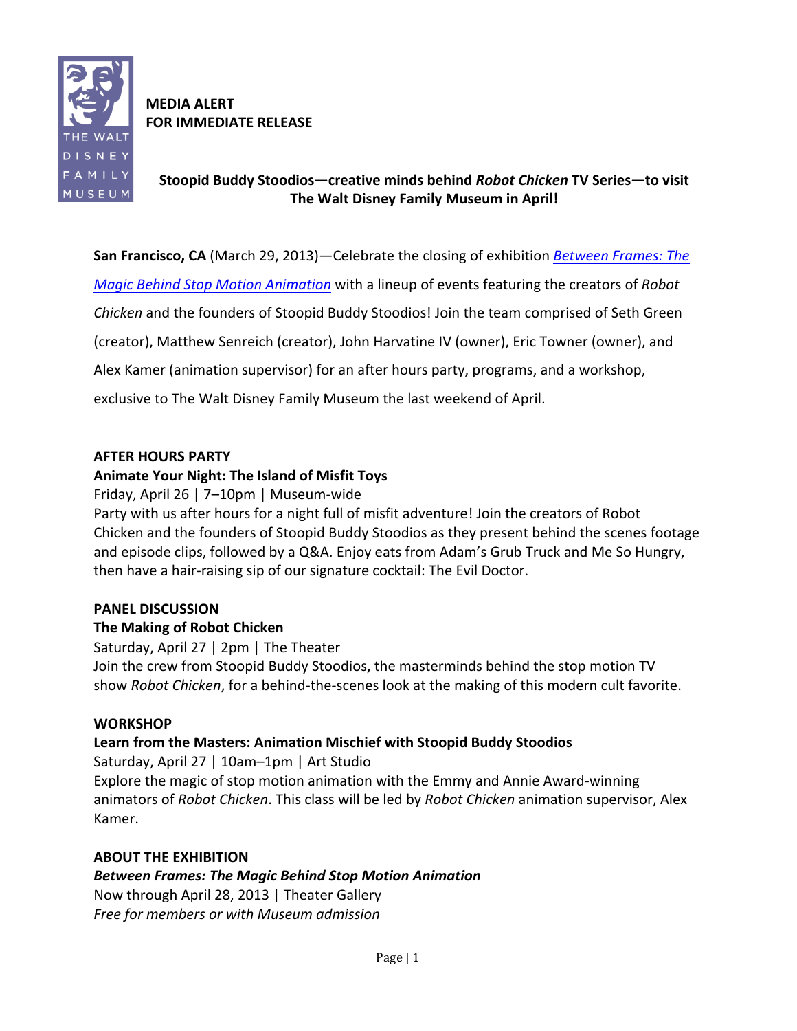

**MEDIA&ALERT FOR IMMEDIATE RELEASE** 

# **Stoopid&Buddy&Stoodios—creative&minds&behind&***Robot%Chicken* **TV&Series—to&visit&** The Walt Disney Family Museum in April!

**San Francisco, CA** (March 29, 2013)—Celebrate the closing of exhibition *Between Frames: The* 

*Magic Behind Stop Motion Animation* with a lineup of events featuring the creators of *Robot* 

*Chicken* and the founders of Stoopid Buddy Stoodios! Join the team comprised of Seth Green

(creator), Matthew Senreich (creator), John Harvatine IV (owner), Eric Towner (owner), and

Alex Kamer (animation supervisor) for an after hours party, programs, and a workshop,

exclusive to The Walt Disney Family Museum the last weekend of April.

# **AFTER HOURS PARTY**

# Animate Your Night: The Island of Misfit Toys

Friday, April 26 | 7–10pm | Museum-wide

Party with us after hours for a night full of misfit adventure! Join the creators of Robot Chicken and the founders of Stoopid Buddy Stoodios as they present behind the scenes footage and episode clips, followed by a Q&A. Enjoy eats from Adam's Grub Truck and Me So Hungry, then have a hair-raising sip of our signature cocktail: The Evil Doctor.

# **PANEL DISCUSSION**

# **The Making of Robot Chicken**

Saturday, April 27 | 2pm | The Theater

Join the crew from Stoopid Buddy Stoodios, the masterminds behind the stop motion TV show *Robot Chicken*, for a behind-the-scenes look at the making of this modern cult favorite.

# **WORKSHOP**

# Learn from the Masters: Animation Mischief with Stoopid Buddy Stoodios

Saturday, April 27 | 10am–1pm | Art Studio Explore the magic of stop motion animation with the Emmy and Annie Award-winning animators of *Robot Chicken*. This class will be led by *Robot Chicken* animation supervisor, Alex Kamer.

### **ABOUT THE EXHIBITION**

# *Between%Frames:%The%Magic%Behind%Stop%Motion%Animation*

Now through April 28, 2013 | Theater Gallery *Free for members or with Museum admission*